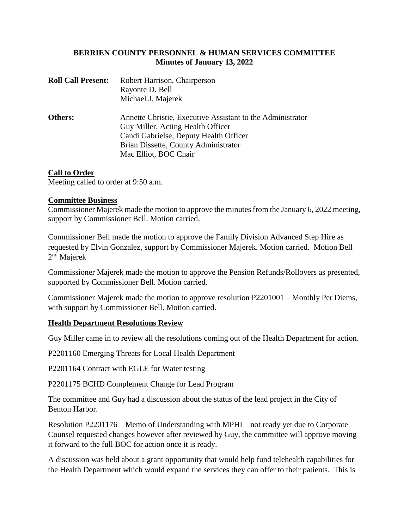# **BERRIEN COUNTY PERSONNEL & HUMAN SERVICES COMMITTEE Minutes of January 13, 2022**

| <b>Roll Call Present:</b> | Robert Harrison, Chairperson                               |
|---------------------------|------------------------------------------------------------|
|                           | Rayonte D. Bell                                            |
|                           | Michael J. Majerek                                         |
| Others:                   | Annette Christie, Executive Assistant to the Administrator |
|                           | Guy Miller, Acting Health Officer                          |
|                           | Candi Gabrielse, Deputy Health Officer                     |
|                           | Brian Dissette, County Administrator                       |
|                           | Mac Elliot, BOC Chair                                      |

## **Call to Order**

Meeting called to order at 9:50 a.m.

#### **Committee Business**

Commissioner Majerek made the motion to approve the minutes from the January 6, 2022 meeting, support by Commissioner Bell. Motion carried.

Commissioner Bell made the motion to approve the Family Division Advanced Step Hire as requested by Elvin Gonzalez, support by Commissioner Majerek. Motion carried. Motion Bell 2<sup>nd</sup> Majerek

Commissioner Majerek made the motion to approve the Pension Refunds/Rollovers as presented, supported by Commissioner Bell. Motion carried.

Commissioner Majerek made the motion to approve resolution P2201001 – Monthly Per Diems, with support by Commissioner Bell. Motion carried.

#### **Health Department Resolutions Review**

Guy Miller came in to review all the resolutions coming out of the Health Department for action.

P2201160 Emerging Threats for Local Health Department

P2201164 Contract with EGLE for Water testing

P2201175 BCHD Complement Change for Lead Program

The committee and Guy had a discussion about the status of the lead project in the City of Benton Harbor.

Resolution P2201176 – Memo of Understanding with MPHI – not ready yet due to Corporate Counsel requested changes however after reviewed by Guy, the committee will approve moving it forward to the full BOC for action once it is ready.

A discussion was held about a grant opportunity that would help fund telehealth capabilities for the Health Department which would expand the services they can offer to their patients. This is